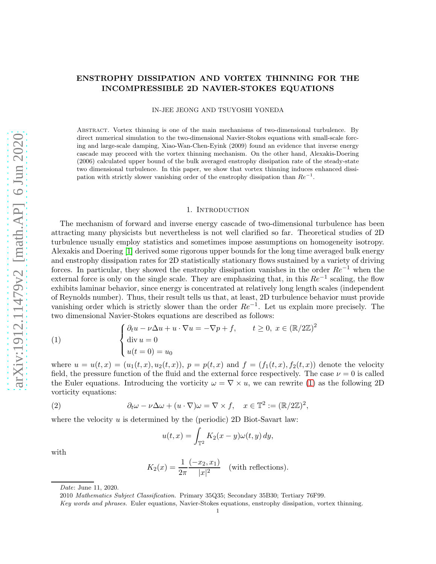# ENSTROPHY DISSIPATION AND VORTEX THINNING FOR THE INCOMPRESSIBLE 2D NAVIER-STOKES EQUATIONS

IN-JEE JEONG AND TSUYOSHI YONEDA

Abstract. Vortex thinning is one of the main mechanisms of two-dimensional turbulence. By direct numerical simulation to the two-dimensional Navier-Stokes equations with small-scale forcing and large-scale damping, Xiao-Wan-Chen-Eyink (2009) found an evidence that inverse energy cascade may proceed with the vortex thinning mechanism. On the other hand, Alexakis-Doering (2006) calculated upper bound of the bulk averaged enstrophy dissipation rate of the steady-state two dimensional turbulence. In this paper, we show that vortex thinning induces enhanced dissipation with strictly slower vanishing order of the enstrophy dissipation than  $Re^{-1}$ .

#### 1. Introduction

The mechanism of forward and inverse energy cascade of two-dimensional turbulence has been attracting many physicists but nevertheless is not well clarified so far. Theoretical studies of 2D turbulence usually employ statistics and sometimes impose assumptions on homogeneity isotropy. Alexakis and Doering [\[1\]](#page-11-0) derived some rigorous upper bounds for the long time averaged bulk energy and enstrophy dissipation rates for 2D statistically stationary flows sustained by a variety of driving forces. In particular, they showed the enstrophy dissipation vanishes in the order  $Re^{-1}$  when the external force is only on the single scale. They are emphasizing that, in this  $Re^{-1}$  scaling, the flow exhibits laminar behavior, since energy is concentrated at relatively long length scales (independent of Reynolds number). Thus, their result tells us that, at least, 2D turbulence behavior must provide vanishing order which is strictly slower than the order  $Re^{-1}$ . Let us explain more precisely. The two dimensional Navier-Stokes equations are described as follows:

<span id="page-0-0"></span>(1) 
$$
\begin{cases} \partial_t u - \nu \Delta u + u \cdot \nabla u = -\nabla p + f, & t \ge 0, \ x \in (\mathbb{R}/2\mathbb{Z})^2 \\ \text{div } u = 0 \\ u(t = 0) = u_0 \end{cases}
$$

where  $u = u(t, x) = (u_1(t, x), u_2(t, x))$ ,  $p = p(t, x)$  and  $f = (f_1(t, x), f_2(t, x))$  denote the velocity field, the pressure function of the fluid and the external force respectively. The case  $\nu = 0$  is called the Euler equations. Introducing the vorticity  $\omega = \nabla \times u$ , we can rewrite [\(1\)](#page-0-0) as the following 2D vorticity equations:

(2) 
$$
\partial_t \omega - \nu \Delta \omega + (u \cdot \nabla) \omega = \nabla \times f, \quad x \in \mathbb{T}^2 := (\mathbb{R}/2\mathbb{Z})^2,
$$

where the velocity  $u$  is determined by the (periodic) 2D Biot-Savart law:

$$
u(t,x) = \int_{\mathbb{T}^2} K_2(x-y)\omega(t,y) \, dy,
$$

with

$$
K_2(x) = \frac{1}{2\pi} \frac{(-x_2, x_1)}{|x|^2}
$$
 (with reflections).

*Date*: June 11, 2020.

<sup>2010</sup> *Mathematics Subject Classification.* Primary 35Q35; Secondary 35B30; Tertiary 76F99.

*Key words and phrases.* Euler equations, Navier-Stokes equations, enstrophy dissipation, vortex thinning.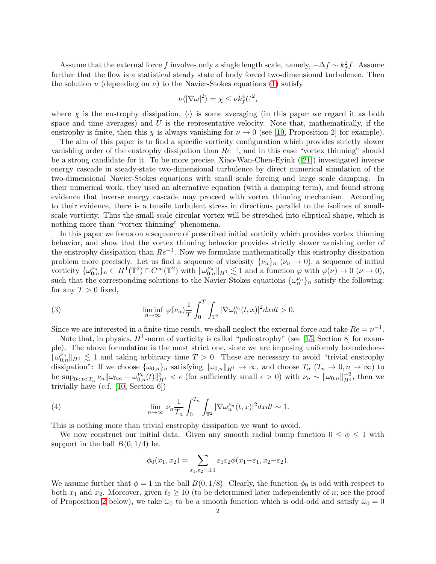Assume that the external force f involves only a single length scale, namely,  $-\Delta f \sim k_f^2 f$ . Assume further that the flow is a statistical steady state of body forced two-dimensional turbulence. Then the solution u (depending on  $\nu$ ) to the Navier-Stokes equations [\(1\)](#page-0-0) satisfy

$$
\nu \langle |\nabla \omega|^2 \rangle = \chi \le \nu k_f^4 U^2,
$$

where  $\chi$  is the enstrophy dissipation,  $\langle \cdot \rangle$  is some averaging (in this paper we regard it as both space and time averages) and  $U$  is the representative velocity. Note that, mathematically, if the enstrophy is finite, then this  $\chi$  is always vanishing for  $\nu \to 0$  (see [\[10,](#page-11-1) Proposition 2] for example).

The aim of this paper is to find a specific vorticity configuration which provides strictly slower vanishing order of the enstrophy dissipation than  $Re^{-1}$ , and in this case "vortex thinning" should be a strong candidate for it. To be more precise, Xiao-Wan-Chen-Eyink ([\[21\]](#page-12-0)) investigated inverse energy cascade in steady-state two-dimensional turbulence by direct numerical simulation of the two-dimensional Navier-Stokes equations with small scale forcing and large scale damping. In their numerical work, they used an alternative equation (with a damping term), and found strong evidence that inverse energy cascade may proceed with vortex thinning mechanism. According to their evidence, there is a tensile turbulent stress in directions parallel to the isolines of smallscale vorticity. Thus the small-scale circular vortex will be stretched into elliptical shape, which is nothing more than "vortex thinning" phenomena.

In this paper we focus on a sequence of prescribed initial vorticity which provides vortex thinning behavior, and show that the vortex thinning behavior provides strictly slower vanishing order of the enstrophy dissipation than  $Re^{-1}$ . Now we formulate mathematically this enstrophy dissipation problem more precisely. Let us find a sequence of viscosity  $\{\nu_n\}_n$   $(\nu_n \to 0)$ , a sequence of initial vorticity  $\{\omega_{0,n}^{\nu_n}\}_n \subset H^1(\mathbb{T}^2) \cap C^{\infty}(\mathbb{T}^2)$  with  $\|\omega_{0,n}^{\nu_n}\|_{H^1} \lesssim 1$  and a function  $\varphi$  with  $\varphi(\nu) \to 0$   $(\nu \to 0)$ , such that the corresponding solutions to the Navier-Stokes equations  $\{\omega_n^{\nu_n}\}_n$  satisfy the following: for any  $T > 0$  fixed,

(3) 
$$
\liminf_{n \to \infty} \varphi(\nu_n) \frac{1}{T} \int_0^T \int_{\mathbb{T}^2} |\nabla \omega_n^{\nu_n}(t,x)|^2 dx dt > 0.
$$

Since we are interested in a finite-time result, we shall neglect the external force and take  $Re = \nu^{-1}$ .

Note that, in physics,  $H^1$ -norm of vorticity is called "palinstrophy" (see [\[15,](#page-12-1) Section 8] for example). The above formulation is the most strict one, since we are imposing uniformly boundedness  $\|\omega_{0,n}^{\nu_n}\|_{H^1} \lesssim 1$  and taking arbitrary time  $T > 0$ . These are necessary to avoid "trivial enstrophy" dissipation": If we choose  $\{\omega_{0,n}\}_n$  satisfying  $\|\omega_{0,n}\|_{H^1} \to \infty$ , and choose  $T_n$   $(T_n \to 0, n \to \infty)$  to be  $\sup_{0 \le t \le T_n} \nu_n ||\omega_{0,n} - \omega_{0,n}^{\nu_n}(t)||_{H^1}^2 < \epsilon$  (for sufficiently small  $\epsilon > 0$ ) with  $\nu_n \sim ||\omega_{0,n}||_{H^1}^{-2}$ , then we trivially have (c.f. [\[10,](#page-11-1) Section 6])

(4) 
$$
\lim_{n \to \infty} \nu_n \frac{1}{T_n} \int_0^{T_n} \int_{\mathbb{T}^2} |\nabla \omega_n^{\nu_n}(t,x)|^2 dx dt \sim 1.
$$

This is nothing more than trivial enstrophy dissipation we want to avoid.

We now construct our initial data. Given any smooth radial bump function  $0 \leq \phi \leq 1$  with support in the ball  $B(0, 1/4)$  let

$$
\phi_0(x_1, x_2) = \sum_{\varepsilon_1, \varepsilon_2 = \pm 1} \varepsilon_1 \varepsilon_2 \phi(x_1 - \varepsilon_1, x_2 - \varepsilon_2).
$$

We assume further that  $\phi = 1$  in the ball  $B(0, 1/8)$ . Clearly, the function  $\phi_0$  is odd with respect to both  $x_1$  and  $x_2$ . Moreover, given  $\ell_0 \geq 10$  (to be determined later independently of n; see the proof of Proposition [2](#page-3-0) below), we take  $\tilde{\omega}_0$  to be a smooth function which is odd-odd and satisfy  $\tilde{\omega}_0 = 0$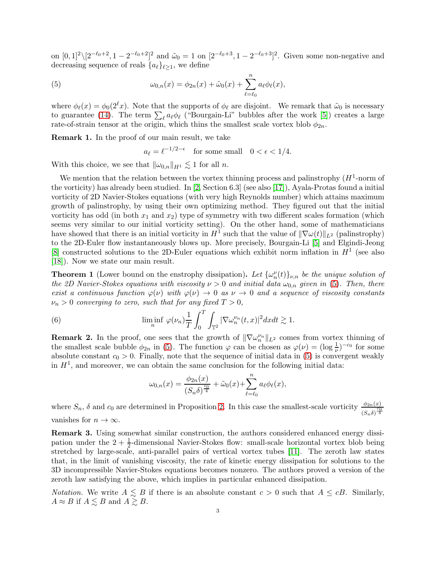on  $[0,1]^2 \setminus [2^{-\ell_0+2}, 1-2^{-\ell_0+2}]^2$  and  $\tilde{\omega}_0 = 1$  on  $[2^{-\ell_0+3}, 1-2^{-\ell_0+3}]^2$ . Given some non-negative and decreasing sequence of reals  $\{a_\ell\}_{\ell>1}$ , we define

<span id="page-2-0"></span>(5) 
$$
\omega_{0,n}(x) = \phi_{2n}(x) + \tilde{\omega}_0(x) + \sum_{\ell=\ell_0}^n a_\ell \phi_\ell(x),
$$

where  $\phi_{\ell}(x) = \phi_0(2^{\ell}x)$ . Note that the supports of  $\phi_{\ell}$  are disjoint. We remark that  $\tilde{\omega}_0$  is necessary to guarantee [\(14\)](#page-6-0). The term  $\sum_{\ell} a_{\ell} \phi_{\ell}$  ("Bourgain-Li" bubbles after the work [\[5\]](#page-11-2)) creates a large rate-of-strain tensor at the origin, which thins the smallest scale vortex blob  $\phi_{2n}$ .

Remark 1. In the proof of our main result, we take

$$
a_{\ell} = \ell^{-1/2 - \epsilon} \quad \text{for some small} \quad 0 < \epsilon < 1/4.
$$

With this choice, we see that  $\|\omega_{0,n}\|_{H^1} \lesssim 1$  for all n.

We mention that the relation between the vortex thinning process and palinstrophy  $(H<sup>1</sup>$ -norm of the vorticity) has already been studied. In [\[2,](#page-11-3) Section 6.3] (see also [\[17\]](#page-12-2)), Ayala-Protas found a initial vorticity of 2D Navier-Stokes equations (with very high Reynolds number) which attains maximum growth of palinstrophy, by using their own optimizing method. They figured out that the initial vorticity has odd (in both  $x_1$  and  $x_2$ ) type of symmetry with two different scales formation (which seems very similar to our initial vorticity setting). On the other hand, some of mathematicians have showed that there is an initial vorticity in  $H^1$  such that the value of  $\|\nabla\omega(t)\|_{L^2}$  (palinstrophy) to the 2D-Euler flow instantaneously blows up. More precisely, Bourgain-Li [\[5\]](#page-11-2) and Elgindi-Jeong [\[8\]](#page-11-4) constructed solutions to the 2D-Euler equations which exhibit norm inflation in  $H<sup>1</sup>$  (see also [\[18\]](#page-12-3)). Now we state our main result.

<span id="page-2-1"></span>**Theorem 1** (Lower bound on the enstrophy dissipation). Let  $\{\omega_n^{\nu}(t)\}_{\nu,n}$  be the unique solution of the 2D Navier-Stokes equations with viscosity  $\nu > 0$  and initial data  $\omega_{0,n}$  given in [\(5\)](#page-2-0). Then, there exist a continuous function  $\varphi(\nu)$  with  $\varphi(\nu) \to 0$  as  $\nu \to 0$  and a sequence of viscosity constants  $\nu_n > 0$  converging to zero, such that for any fixed  $T > 0$ ,

(6) 
$$
\liminf_{n} \varphi(\nu_n) \frac{1}{T} \int_0^T \int_{\mathbb{T}^2} |\nabla \omega_n^{\nu_n}(t,x)|^2 dx dt \gtrsim 1.
$$

**Remark 2.** In the proof, one sees that the growth of  $\|\nabla \omega_n^{\nu_n}\|_{L^2}$  comes from vortex thinning of the smallest scale bubble  $\phi_{2n}$  in [\(5\)](#page-2-0). The function  $\varphi$  can be chosen as  $\varphi(\nu) = (\log \frac{1}{\nu})^{-c_0}$  for some absolute constant  $c_0 > 0$ . Finally, note that the sequence of initial data in [\(5\)](#page-2-0) is convergent weakly in  $H<sup>1</sup>$ , and moreover, we can obtain the same conclusion for the following initial data:

$$
\omega_{0,n}(x) = \frac{\phi_{2n}(x)}{(S_n \delta)^{\frac{c_0}{4}}} + \tilde{\omega}_0(x) + \sum_{\ell=\ell_0}^n a_\ell \phi_\ell(x),
$$

where  $S_n$ ,  $\delta$  and  $c_0$  are determined in Proposition [2.](#page-3-0) In this case the smallest-scale vorticity  $\frac{\phi_{2n}(x)}{(S_n\delta)^{\frac{c_0}{4}}}$ vanishes for  $n \to \infty$ .

Remark 3. Using somewhat similar construction, the authors considered enhanced energy dissipation under the  $2 + \frac{1}{2}$ -dimensional Navier-Stokes flow: small-scale horizontal vortex blob being stretched by large-scale, anti-parallel pairs of vertical vortex tubes [\[11\]](#page-11-5). The zeroth law states that, in the limit of vanishing viscosity, the rate of kinetic energy dissipation for solutions to the 3D incompressible Navier-Stokes equations becomes nonzero. The authors proved a version of the zeroth law satisfying the above, which implies in particular enhanced dissipation.

*Notation.* We write  $A \leq B$  if there is an absolute constant  $c > 0$  such that  $A \leq cB$ . Similarly,  $A \approx B$  if  $A \lesssim B$  and  $A \gtrsim B$ .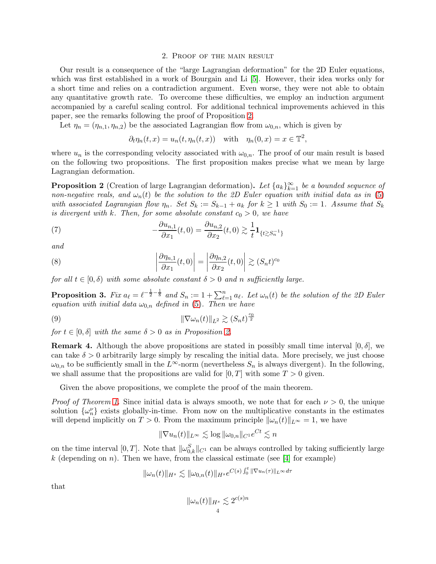### 2. Proof of the main result

Our result is a consequence of the "large Lagrangian deformation" for the 2D Euler equations, which was first established in a work of Bourgain and Li  $[5]$ . However, their idea works only for a short time and relies on a contradiction argument. Even worse, they were not able to obtain any quantitative growth rate. To overcome these difficulties, we employ an induction argument accompanied by a careful scaling control. For additional technical improvements achieved in this paper, see the remarks following the proof of Proposition [2.](#page-3-0)

Let  $\eta_n = (\eta_{n,1}, \eta_{n,2})$  be the associated Lagrangian flow from  $\omega_{0,n}$ , which is given by

$$
\partial_t \eta_n(t, x) = u_n(t, \eta_n(t, x))
$$
 with  $\eta_n(0, x) = x \in \mathbb{T}^2$ ,

where  $u_n$  is the corresponding velocity associated with  $\omega_{0,n}$ . The proof of our main result is based on the following two propositions. The first proposition makes precise what we mean by large Lagrangian deformation.

<span id="page-3-0"></span>**Proposition 2** (Creation of large Lagrangian deformation). Let  $\{a_k\}_{k=1}^{\infty}$  be a bounded sequence of non-negative reals, and  $\omega_n(t)$  be the solution to the 2D Euler equation with initial data as in [\(5\)](#page-2-0) with associated Lagrangian flow  $\eta_n$ . Set  $S_k := S_{k-1} + a_k$  for  $k \geq 1$  with  $S_0 := 1$ . Assume that  $S_k$ is divergent with k. Then, for some absolute constant  $c_0 > 0$ , we have

<span id="page-3-3"></span>(7) 
$$
-\frac{\partial u_{n,1}}{\partial x_1}(t,0) = \frac{\partial u_{n,2}}{\partial x_2}(t,0) \gtrsim \frac{1}{t} \mathbf{1}_{\{t \gtrsim S_n^{-1}\}}
$$

and

<span id="page-3-2"></span>(8) 
$$
\left| \frac{\partial \eta_{n,1}}{\partial x_1}(t,0) \right| = \left| \frac{\partial \eta_{n,2}}{\partial x_2}(t,0) \right| \gtrsim (S_n t)^{c_0}
$$

for all  $t \in [0, \delta)$  with some absolute constant  $\delta > 0$  and n sufficiently large.

<span id="page-3-4"></span>**Proposition 3.** Fix  $a_{\ell} = \ell^{-\frac{1}{2} - \frac{1}{8}}$  and  $S_n := 1 + \sum_{\ell=1}^n a_{\ell}$ . Let  $\omega_n(t)$  be the solution of the 2D Euler equation with initial data  $\omega_{0,n}$  defined in [\(5\)](#page-2-0). Then we have

$$
\|\nabla\omega_n(t)\|_{L^2} \gtrsim (S_n t)^{\frac{c_0}{2}}
$$

for  $t \in [0, \delta]$  with the same  $\delta > 0$  as in Proposition [2.](#page-3-0)

**Remark 4.** Although the above propositions are stated in possibly small time interval  $[0, \delta]$ , we can take  $\delta > 0$  arbitrarily large simply by rescaling the initial data. More precisely, we just choose  $\omega_{0,n}$  to be sufficiently small in the L<sup>∞</sup>-norm (nevertheless  $S_n$  is always divergent). In the following, we shall assume that the propositions are valid for  $[0, T]$  with some  $T > 0$  given.

Given the above propositions, we complete the proof of the main theorem.

*Proof of Theorem [1.](#page-2-1)* Since initial data is always smooth, we note that for each  $\nu > 0$ , the unique solution  $\{\omega_n^{\nu}\}\)$  exists globally-in-time. From now on the multiplicative constants in the estimates will depend implicitly on  $T > 0$ . From the maximum principle  $\|\omega_n(t)\|_{L^{\infty}} = 1$ , we have

<span id="page-3-1"></span>
$$
\|\nabla u_n(t)\|_{L^\infty} \lesssim \log \|\omega_{0,n}\|_{C^1} e^{Ct} \lesssim n
$$

on the time interval  $[0, T]$ . Note that  $\|\omega_{0,k}^{S}\|_{C^{1}}$  can be always controlled by taking sufficiently large k (depending on n). Then we have, from the classical estimate (see [\[4\]](#page-11-6) for example)

$$
\|\omega_n(t)\|_{H^s} \lesssim \|\omega_{0,n}(t)\|_{H^s} e^{C(s)\int_0^t \|\nabla u_n(\tau)\|_{L^\infty} d\tau}
$$

that

$$
\|\omega_n(t)\|_{H^s} \lesssim 2^{c(s)n}
$$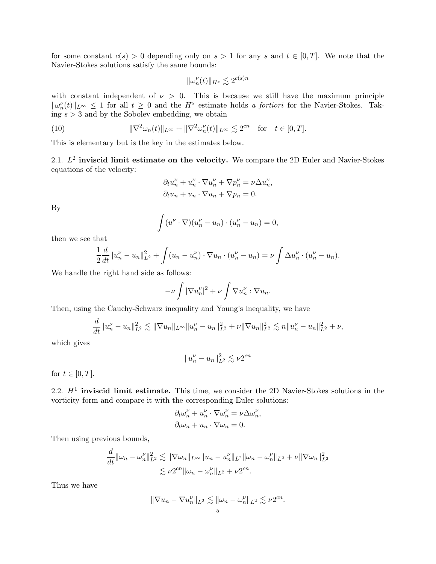for some constant  $c(s) > 0$  depending only on  $s > 1$  for any s and  $t \in [0, T]$ . We note that the Navier-Stokes solutions satisfy the same bounds:

$$
\|\omega_n^{\nu}(t)\|_{H^s} \lesssim 2^{c(s)n}
$$

with constant independent of  $\nu > 0$ . This is because we still have the maximum principle  $\|\omega_n^{\nu}(t)\|_{L^{\infty}} \leq 1$  for all  $t \geq 0$  and the  $H^s$  estimate holds a fortiori for the Navier-Stokes. Taking  $s > 3$  and by the Sobolev embedding, we obtain

(10) 
$$
\|\nabla^2 \omega_n(t)\|_{L^\infty} + \|\nabla^2 \omega_n^{\nu}(t)\|_{L^\infty} \lesssim 2^{cn} \text{ for } t \in [0, T].
$$

This is elementary but is the key in the estimates below.

2.1.  $L^2$  inviscid limit estimate on the velocity. We compare the 2D Euler and Navier-Stokes equations of the velocity:

$$
\partial_t u_n^{\nu} + u_n^{\nu} \cdot \nabla u_n^{\nu} + \nabla p_n^{\nu} = \nu \Delta u_n^{\nu},
$$
  

$$
\partial_t u_n + u_n \cdot \nabla u_n + \nabla p_n = 0.
$$

By

$$
\int (u^{\nu}\cdot\nabla)(u_n^{\nu}-u_n)\cdot(u_n^{\nu}-u_n)=0,
$$

then we see that

$$
\frac{1}{2}\frac{d}{dt}\|u_n^{\nu}-u_n\|_{L^2}^2 + \int (u_n - u_n^{\nu}) \cdot \nabla u_n \cdot (u_n^{\nu}-u_n) = \nu \int \Delta u_n^{\nu} \cdot (u_n^{\nu}-u_n).
$$

We handle the right hand side as follows:

$$
-\nu \int |\nabla u_n^{\nu}|^2 + \nu \int \nabla u_n^{\nu} : \nabla u_n.
$$

Then, using the Cauchy-Schwarz inequality and Young's inequality, we have

$$
\frac{d}{dt}||u_n^{\nu}-u_n||_{L^2}^2 \lesssim ||\nabla u_n||_{L^{\infty}}||u_n^{\nu}-u_n||_{L^2}^2 + \nu ||\nabla u_n||_{L^2}^2 \lesssim n||u_n^{\nu}-u_n||_{L^2}^2 + \nu,
$$

which gives

$$
||u_n^{\nu} - u_n||_{L^2}^2 \lesssim \nu 2^{cn}
$$

for  $t \in [0, T]$ .

2.2.  $H<sup>1</sup>$  inviscid limit estimate. This time, we consider the 2D Navier-Stokes solutions in the vorticity form and compare it with the corresponding Euler solutions:

$$
\partial_t \omega_n^{\nu} + u_n^{\nu} \cdot \nabla \omega_n^{\nu} = \nu \Delta \omega_n^{\nu},
$$
  

$$
\partial_t \omega_n + u_n \cdot \nabla \omega_n = 0.
$$

Then using previous bounds,

d

$$
\frac{d}{dt} \|\omega_n - \omega_n^{\nu}\|_{L^2}^2 \lesssim \|\nabla \omega_n\|_{L^\infty} \|u_n - u_n^{\nu}\|_{L^2} \|\omega_n - \omega_n^{\nu}\|_{L^2} + \nu \|\nabla \omega_n\|_{L^2}^2
$$
  

$$
\lesssim \nu 2^{cn} \|\omega_n - \omega_n^{\nu}\|_{L^2} + \nu 2^{cn}.
$$

Thus we have

$$
\|\nabla u_n - \nabla u_n^{\nu}\|_{L^2} \lesssim \|\omega_n - \omega_n^{\nu}\|_{L^2} \lesssim \nu 2^{cn}.
$$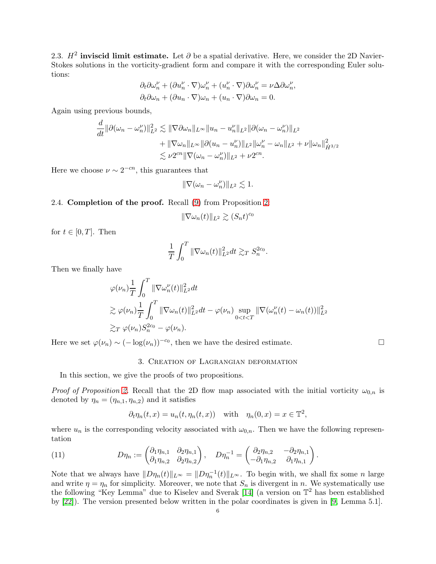2.3.  $H^2$  inviscid limit estimate. Let  $\partial$  be a spatial derivative. Here, we consider the 2D Navier-Stokes solutions in the vorticity-gradient form and compare it with the corresponding Euler solutions:

$$
\begin{split} \partial_t\partial\omega_n^\nu +(\partial u_n^\nu\cdot\nabla)\omega_n^\nu + (u_n^\nu\cdot\nabla)\partial\omega_n^\nu &= \nu\Delta\partial\omega_n^\nu,\\ \partial_t\partial\omega_n +(\partial u_n\cdot\nabla)\omega_n + (u_n\cdot\nabla)\partial\omega_n &=0. \end{split}
$$

Again using previous bounds,

$$
\frac{d}{dt} \|\partial(\omega_n - \omega_n^{\nu})\|_{L^2}^2 \lesssim \|\nabla \partial \omega_n\|_{L^{\infty}} \|u_n - u_n^{\nu}\|_{L^2} \|\partial(\omega_n - \omega_n^{\nu})\|_{L^2} \n+ \|\nabla \omega_n\|_{L^{\infty}} \|\partial(u_n - u_n^{\nu})\|_{L^2} \|\omega_n^{\nu} - \omega_n\|_{L^2} + \nu \|\omega_n\|_{\dot{H}^{3/2}}^2 \n\lesssim \nu 2^{cn} \|\nabla(\omega_n - \omega_n^{\nu})\|_{L^2} + \nu 2^{cn}.
$$

Here we choose  $\nu \sim 2^{-cn}$ , this guarantees that

$$
\|\nabla(\omega_n - \omega_n^{\nu})\|_{L^2} \lesssim 1.
$$

### 2.4. Completion of the proof. Recall [\(9\)](#page-3-1) from Proposition [2:](#page-3-0)

$$
\|\nabla\omega_n(t)\|_{L^2}\gtrsim (S_nt)^{c_0}
$$

for  $t \in [0, T]$ . Then

$$
\frac{1}{T} \int_0^T \|\nabla \omega_n(t)\|_{L^2}^2 dt \gtrsim_T S_n^{2c_0}.
$$

Then we finally have

$$
\varphi(\nu_n) \frac{1}{T} \int_0^T \|\nabla \omega_n^{\nu}(t)\|_{L^2}^2 dt
$$
  
\n
$$
\gtrsim \varphi(\nu_n) \frac{1}{T} \int_0^T \|\nabla \omega_n(t)\|_{L^2}^2 dt - \varphi(\nu_n) \sup_{0 < t < T} \|\nabla (\omega_n^{\nu}(t) - \omega_n(t))\|_{L^2}^2
$$
  
\n
$$
\gtrsim_T \varphi(\nu_n) S_n^{2c_0} - \varphi(\nu_n).
$$

Here we set  $\varphi(\nu_n) \sim (-\log(\nu_n))^{-c_0}$ , then we have the desired estimate.

#### 3. Creation of Lagrangian deformation

In this section, we give the proofs of two propositions.

*Proof of Proposition [2.](#page-3-0)* Recall that the 2D flow map associated with the initial vorticity  $\omega_{0,n}$  is denoted by  $\eta_n = (\eta_{n,1}, \eta_{n,2})$  and it satisfies

<span id="page-5-0"></span>
$$
\partial_t \eta_n(t, x) = u_n(t, \eta_n(t, x))
$$
 with  $\eta_n(0, x) = x \in \mathbb{T}^2$ ,

where  $u_n$  is the corresponding velocity associated with  $\omega_{0,n}$ . Then we have the following representation

(11) 
$$
D\eta_n := \begin{pmatrix} \partial_1 \eta_{n,1} & \partial_2 \eta_{n,1} \\ \partial_1 \eta_{n,2} & \partial_2 \eta_{n,2} \end{pmatrix}, \quad D\eta_n^{-1} = \begin{pmatrix} \partial_2 \eta_{n,2} & -\partial_2 \eta_{n,1} \\ -\partial_1 \eta_{n,2} & \partial_1 \eta_{n,1} \end{pmatrix}.
$$

Note that we always have  $||D\eta_n(t)||_{L^{\infty}} = ||D\eta_n^{-1}(t)||_{L^{\infty}}$ . To begin with, we shall fix some n large and write  $\eta = \eta_n$  for simplicity. Moreover, we note that  $S_n$  is divergent in n. We systematically use the following "Key Lemma" due to Kiselev and Sverak [\[14\]](#page-12-4) (a version on  $\mathbb{T}^2$  has been established by [\[22\]](#page-12-5)). The version presented below written in the polar coordinates is given in [\[9,](#page-11-7) Lemma 5.1].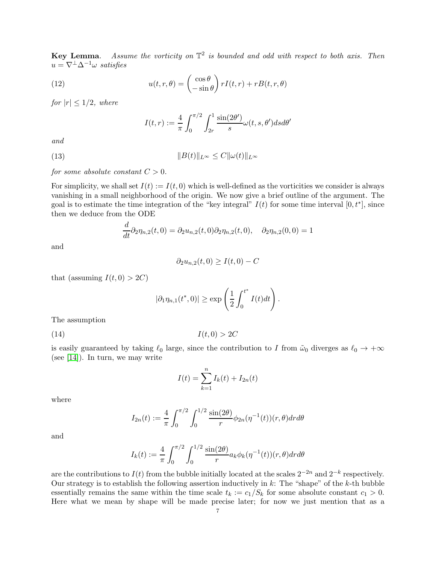**Key Lemma.** Assume the vorticity on  $\mathbb{T}^2$  is bounded and odd with respect to both axis. Then  $u = \nabla^{\perp} \Delta^{-1} \omega$  satisfies

<span id="page-6-1"></span>(12) 
$$
u(t,r,\theta) = \begin{pmatrix} \cos \theta \\ -\sin \theta \end{pmatrix} rI(t,r) + rB(t,r,\theta)
$$

for  $|r| \leq 1/2$ , where

$$
I(t,r) := \frac{4}{\pi} \int_0^{\pi/2} \int_{2r}^1 \frac{\sin(2\theta')}{s} \omega(t,s,\theta') ds d\theta'
$$

and

(13) 
$$
||B(t)||_{L^{\infty}} \leq C||\omega(t)||_{L^{\infty}}
$$

for some absolute constant  $C > 0$ .

For simplicity, we shall set  $I(t) := I(t, 0)$  which is well-defined as the vorticities we consider is always vanishing in a small neighborhood of the origin. We now give a brief outline of the argument. The goal is to estimate the time integration of the "key integral"  $I(t)$  for some time interval  $[0, t^*]$ , since then we deduce from the ODE

$$
\frac{d}{dt}\partial_2 \eta_{n,2}(t,0) = \partial_2 u_{n,2}(t,0)\partial_2 \eta_{n,2}(t,0), \quad \partial_2 \eta_{n,2}(0,0) = 1
$$

and

$$
\partial_2 u_{n,2}(t,0) \ge I(t,0) - C
$$

that (assuming  $I(t, 0) > 2C$ )

$$
|\partial_1 \eta_{n,1}(t^*,0)| \geq \exp\left(\frac{1}{2}\int_0^{t^*} I(t)dt\right).
$$

The assumption

(14)  $I(t, 0) > 2C$ 

is easily guaranteed by taking  $\ell_0$  large, since the contribution to I from  $\tilde{\omega}_0$  diverges as  $\ell_0 \to +\infty$ (see [\[14\]](#page-12-4)). In turn, we may write

<span id="page-6-0"></span>
$$
I(t) = \sum_{k=1}^{n} I_k(t) + I_{2n}(t)
$$

where

$$
I_{2n}(t) := \frac{4}{\pi} \int_0^{\pi/2} \int_0^{1/2} \frac{\sin(2\theta)}{r} \phi_{2n}(\eta^{-1}(t))(r,\theta) dr d\theta
$$

and

$$
I_k(t) := \frac{4}{\pi} \int_0^{\pi/2} \int_0^{1/2} \frac{\sin(2\theta)}{r} a_k \phi_k(\eta^{-1}(t)) (r, \theta) dr d\theta
$$

are the contributions to  $I(t)$  from the bubble initially located at the scales  $2^{-2n}$  and  $2^{-k}$  respectively. Our strategy is to establish the following assertion inductively in  $k$ : The "shape" of the  $k$ -th bubble essentially remains the same within the time scale  $t_k := c_1/S_k$  for some absolute constant  $c_1 > 0$ . Here what we mean by shape will be made precise later; for now we just mention that as a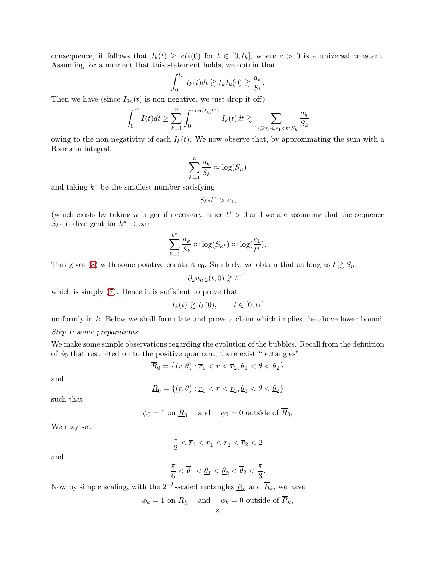consequence, it follows that  $I_k(t) \ge cI_k(0)$  for  $t \in [0, t_k]$ , where  $c > 0$  is a universal constant. Assuming for a moment that this statement holds, we obtain that

$$
\int_0^{t_k} I_k(t)dt \gtrsim t_k I_k(0) \gtrsim \frac{a_k}{S_k}.
$$

Then we have (since  $I_{2n}(t)$  is non-negative, we just drop it off)

$$
\int_0^{t^*} I(t)dt \ge \sum_{k=1}^n \int_0^{\min\{t_k, t^*\}} I_k(t)dt \gtrsim \sum_{1 \le k \le n, c_1 < t^* S_k} \frac{a_k}{S_k}
$$

owing to the non-negativity of each  $I_k(t)$ . We now observe that, by approximating the sum with a Riemann integral,

$$
\sum_{k=1}^{n} \frac{a_k}{S_k} \approx \log(S_n)
$$

and taking  $k^*$  be the smallest number satisfying

 $S_{k^*}t^* > c_1,$ 

(which exists by taking n larger if necessary, since  $t^* > 0$  and we are assuming that the sequence  $S_{k^*}$  is divergent for  $k^* \to \infty$ )

$$
\sum_{k=1}^{k^*} \frac{a_k}{S_k} \approx \log(S_{k^*}) \approx \log(\frac{c_1}{t^*}).
$$

This gives [\(8\)](#page-3-2) with some positive constant  $c_0$ . Similarly, we obtain that as long as  $t \gtrsim S_n$ ,

$$
\partial_2 u_{n,2}(t,0) \gtrsim t^{-1},
$$

which is simply  $(7)$ . Hence it is sufficient to prove that

$$
I_k(t) \gtrsim I_k(0), \qquad t \in [0, t_k]
$$

uniformly in k. Below we shall formulate and prove a claim which implies the above lower bound. Step I: some preparations

We make some simple observations regarding the evolution of the bubbles. Recall from the definition of  $\phi_0$  that restricted on to the positive quadrant, there exist "rectangles"

$$
\overline{R}_0 = \left\{ (r, \theta) : \overline{r}_1 < r < \overline{r}_2, \overline{\theta}_1 < \theta < \overline{\theta}_2 \right\}
$$

and

$$
\underline{R}_0 = \{(r,\theta) : \underline{r}_1 < r < \underline{r}_2, \underline{\theta}_1 < \theta < \underline{\theta}_2\}
$$

such that

$$
\phi_0 = 1
$$
 on  $\underline{R}_0$  and  $\phi_0 = 0$  outside of  $\overline{R}_0$ .

We may set

$$
\frac{1}{2} < \overline{r}_1 < \underline{r}_1 < \underline{r}_2 < \overline{r}_2 < 2
$$

and

$$
\frac{\pi}{6} < \overline{\theta}_1 < \underline{\theta}_1 < \underline{\theta}_2 < \overline{\theta}_2 < \frac{\pi}{3}.
$$

Now by simple scaling, with the 2<sup>-k</sup>-scaled rectangles  $\underline{R}_k$  and  $\overline{R}_k$ , we have

$$
\phi_k = 1
$$
 on  $\underline{R}_k$  and  $\phi_k = 0$  outside of  $R_k$ ,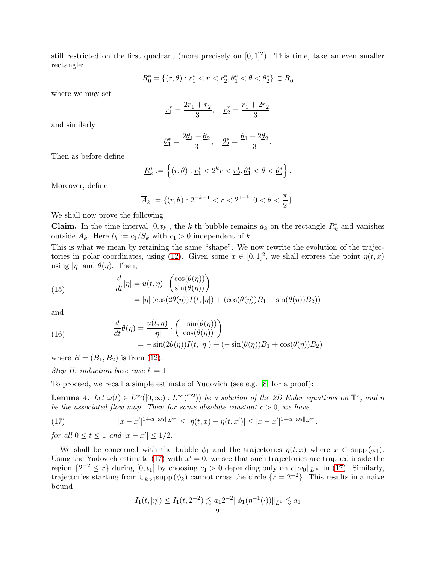still restricted on the first quadrant (more precisely on  $[0,1]^2$ ). This time, take an even smaller rectangle:

$$
\underline{R}_0^* = \{(r, \theta) : \underline{r}_1^* < r < \underline{r}_2^*, \underline{\theta}_1^* < \theta < \underline{\theta}_2^* \} \subset \underline{R}_0
$$

where we may set

$$
\underline{r}_1^* = \frac{2\underline{r}_1 + \underline{r}_2}{3}, \quad \underline{r}_2^* = \frac{\underline{r}_1 + 2\underline{r}_2}{3}
$$

and similarly

$$
\underline{\theta}_1^* = \frac{2\underline{\theta}_1 + \underline{\theta}_2}{3}, \quad \underline{\theta}_2^* = \frac{\underline{\theta}_1 + 2\underline{\theta}_2}{3}.
$$

Then as before define

$$
\underline{R}_k^* := \left\{ (r, \theta) : \underline{r}_1^* < 2^k r < \underline{r}_2^*, \underline{\theta}_1^* < \theta < \underline{\theta}_2^* \right\}.
$$

Moreover, define

$$
\overline{A}_k := \{ (r, \theta) : 2^{-k-1} < r < 2^{1-k}, 0 < \theta < \frac{\pi}{2} \}.
$$

We shall now prove the following

**Claim.** In the time interval  $[0, t_k]$ , the k-th bubble remains  $a_k$  on the rectangle  $\underline{R}_k^*$  and vanishes outside  $\overline{A}_k$ . Here  $t_k := c_1/S_k$  with  $c_1 > 0$  independent of k.

This is what we mean by retaining the same "shape". We now rewrite the evolution of the trajec-tories in polar coordinates, using [\(12\)](#page-6-1). Given some  $x \in [0,1]^2$ , we shall express the point  $\eta(t,x)$ using  $|\eta|$  and  $\theta(\eta)$ . Then,

<span id="page-8-1"></span>(15) 
$$
\frac{d}{dt}|\eta| = u(t,\eta) \cdot \begin{pmatrix} \cos(\theta(\eta)) \\ \sin(\theta(\eta)) \end{pmatrix}
$$

$$
= |\eta| \left( \cos(2\theta(\eta))I(t,|\eta|) + (\cos(\theta(\eta))B_1 + \sin(\theta(\eta))B_2) \right)
$$

and

(16) 
$$
\frac{d}{dt}\theta(\eta) = \frac{u(t,\eta)}{|\eta|} \cdot \begin{pmatrix} -\sin(\theta(\eta)) \\ \cos(\theta(\eta)) \end{pmatrix}
$$

$$
= -\sin(2\theta(\eta))I(t,|\eta|) + (-\sin(\theta(\eta))B_1 + \cos(\theta(\eta))B_2)
$$

where  $B = (B_1, B_2)$  is from [\(12\)](#page-6-1).

Step II: induction base case  $k = 1$ 

To proceed, we recall a simple estimate of Yudovich (see e.g. [\[8\]](#page-11-4) for a proof):

<span id="page-8-2"></span>**Lemma 4.** Let  $\omega(t) \in L^{\infty}([0,\infty): L^{\infty}(\mathbb{T}^2))$  be a solution of the 2D Euler equations on  $\mathbb{T}^2$ , and  $\eta$ be the associated flow map. Then for some absolute constant  $c > 0$ , we have

<span id="page-8-0"></span>(17) 
$$
|x - x'|^{1 + ct\|\omega_0\|_{L^\infty}} \le |\eta(t, x) - \eta(t, x')| \le |x - x'|^{1 - ct\|\omega_0\|_{L^\infty}},
$$

for all  $0 \le t \le 1$  and  $|x - x'| \le 1/2$ .

We shall be concerned with the bubble  $\phi_1$  and the trajectories  $\eta(t,x)$  where  $x \in \text{supp}(\phi_1)$ . Using the Yudovich estimate [\(17\)](#page-8-0) with  $x' = 0$ , we see that such trajectories are trapped inside the region  $\{2^{-2} \le r\}$  during  $[0, t_1]$  by choosing  $c_1 > 0$  depending only on  $c\|\omega_0\|_{L^\infty}$  in [\(17\)](#page-8-0). Similarly, trajectories starting from  $\cup_{k>1}$ supp $(\phi_k)$  cannot cross the circle  $\{r=2^{-2}\}\$ . This results in a naive bound

$$
I_1(t, |\eta|) \le I_1(t, 2^{-2}) \lesssim a_1 2^{-2} \|\phi_1(\eta^{-1}(\cdot))\|_{L^1} \lesssim a_1
$$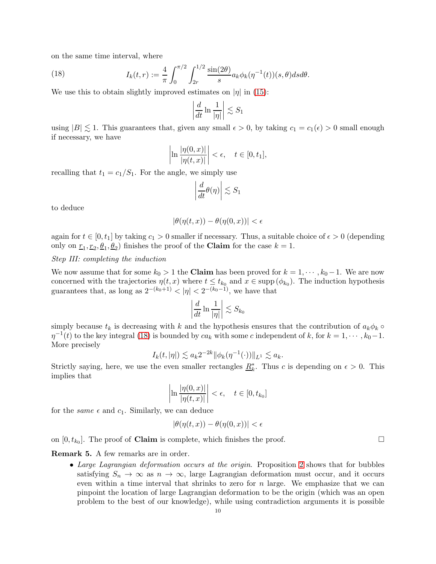on the same time interval, where

<span id="page-9-0"></span>(18) 
$$
I_k(t,r) := \frac{4}{\pi} \int_0^{\pi/2} \int_{2r}^{1/2} \frac{\sin(2\theta)}{s} a_k \phi_k(\eta^{-1}(t))(s,\theta) ds d\theta.
$$

We use this to obtain slightly improved estimates on  $|\eta|$  in [\(15\)](#page-8-1):

$$
\left|\frac{d}{dt}\ln\frac{1}{|\eta|}\right| \lesssim S_1
$$

using  $|B| \leq 1$ . This guarantees that, given any small  $\epsilon > 0$ , by taking  $c_1 = c_1(\epsilon) > 0$  small enough if necessary, we have

$$
\left|\ln\frac{|\eta(0,x)|}{|\eta(t,x)|}\right|<\epsilon,\quad t\in[0,t_1],
$$

recalling that  $t_1 = c_1/S_1$ . For the angle, we simply use

$$
\left|\frac{d}{dt}\theta(\eta)\right| \lesssim S_1
$$

to deduce

$$
|\theta(\eta(t,x)) - \theta(\eta(0,x))| < \epsilon
$$

again for  $t \in [0, t_1]$  by taking  $c_1 > 0$  smaller if necessary. Thus, a suitable choice of  $\epsilon > 0$  (depending only on  $\underline{r}_1, \underline{r}_2, \underline{\theta}_1, \underline{\theta}_2$  finishes the proof of the **Claim** for the case  $k = 1$ .

## Step III: completing the induction

We now assume that for some  $k_0 > 1$  the **Claim** has been proved for  $k = 1, \dots, k_0 - 1$ . We are now concerned with the trajectories  $\eta(t,x)$  where  $t \leq t_{k_0}$  and  $x \in \text{supp}(\phi_{k_0})$ . The induction hypothesis guarantees that, as long as  $2^{-(k_0+1)} < |\eta| < 2^{-(k_0-1)}$ , we have that

$$
\left|\frac{d}{dt}\ln\frac{1}{|\eta|}\right| \lesssim S_{k_0}
$$

simply because  $t_k$  is decreasing with k and the hypothesis ensures that the contribution of  $a_k\phi_k \circ$  $\eta^{-1}(t)$  to the key integral [\(18\)](#page-9-0) is bounded by  $ca_k$  with some c independent of k, for  $k = 1, \dots, k_0 - 1$ . More precisely

$$
I_k(t,|\eta|) \lesssim a_k 2^{-2k} \|\phi_k(\eta^{-1}(\cdot))\|_{L^1} \lesssim a_k.
$$

Strictly saying, here, we use the even smaller rectangles  $\underline{R}_k^*$ . Thus c is depending on  $\epsilon > 0$ . This implies that

$$
\left|\ln\frac{|\eta(0,x)|}{|\eta(t,x)|}\right| < \epsilon, \quad t \in [0,t_{k_0}]
$$

for the *same*  $\epsilon$  and  $c_1$ . Similarly, we can deduce

$$
|\theta(\eta(t,x)) - \theta(\eta(0,x))| < \epsilon
$$

on  $[0, t_{k_0}]$ . The proof of **Claim** is complete, which finishes the proof.

## Remark 5. A few remarks are in order.

• Large Lagrangian deformation occurs at the origin. Proposition [2](#page-3-0) shows that for bubbles satisfying  $S_n \to \infty$  as  $n \to \infty$ , large Lagrangian deformation must occur, and it occurs even within a time interval that shrinks to zero for  $n$  large. We emphasize that we can pinpoint the location of large Lagrangian deformation to be the origin (which was an open problem to the best of our knowledge), while using contradiction arguments it is possible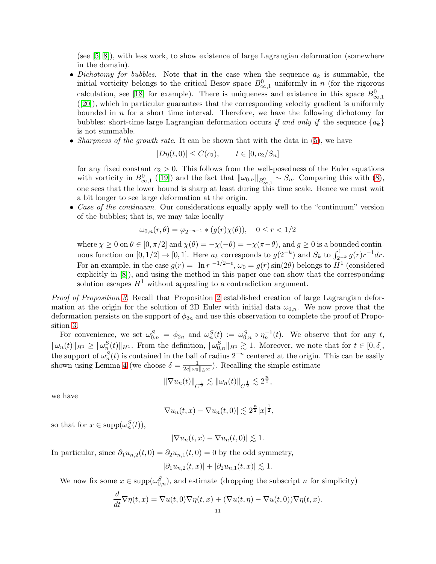(see [\[5,](#page-11-2) [8\]](#page-11-4)), with less work, to show existence of large Lagrangian deformation (somewhere in the domain).

- Dichotomy for bubbles. Note that in the case when the sequence  $a_k$  is summable, the initial vorticity belongs to the critical Besov space  $B_{\infty,1}^0$  uniformly in n (for the rigorous calculation, see [\[18\]](#page-12-3) for example). There is uniqueness and existence in this space  $B_{\infty,1}^0$ ([\[20\]](#page-12-6)), which in particular guarantees that the corresponding velocity gradient is uniformly bounded in  $n$  for a short time interval. Therefore, we have the following dichotomy for bubbles: short-time large Lagrangian deformation occurs if and only if the sequence  ${a_k}$ is not summable.
- Sharpness of the growth rate. It can be shown that with the data in  $(5)$ , we have

$$
|D\eta(t,0)| \le C(c_2), \qquad t \in [0, c_2/S_n]
$$

for any fixed constant  $c_2 > 0$ . This follows from the well-posedness of the Euler equations with vorticity in  $B^{0}_{\infty,1}$  ([\[19\]](#page-12-7)) and the fact that  $\|\omega_{0,n}\|_{B^{0}_{\infty,1}} \sim S_n$ . Comparing this with [\(8\)](#page-3-2), one sees that the lower bound is sharp at least during this time scale. Hence we must wait a bit longer to see large deformation at the origin.

• Case of the continuum. Our considerations equally apply well to the "continuum" version of the bubbles; that is, we may take locally

$$
\omega_{0,n}(r,\theta) = \varphi_{2^{-n-1}} * (g(r)\chi(\theta)), \quad 0 \le r < 1/2
$$

where  $\chi \ge 0$  on  $\theta \in [0, \pi/2]$  and  $\chi(\theta) = -\chi(-\theta) = -\chi(\pi-\theta)$ , and  $g \ge 0$  is a bounded continuous function on  $[0, 1/2] \rightarrow [0, 1]$ . Here  $a_k$  corresponds to  $g(2^{-k})$  and  $S_k$  to  $\int_{2^{-k}}^1 g(r)r^{-1}dr$ . For an example, in the case  $g(r) = |\ln r|^{-1/2-\epsilon}$ ,  $\omega_0 = g(r) \sin(2\theta)$  belongs to  $H^1$  (considered explicitly in [\[8\]](#page-11-4)), and using the method in this paper one can show that the corresponding solution escapes  $H^1$  without appealing to a contradiction argument.

Proof of Proposition [3.](#page-3-4) Recall that Proposition [2](#page-3-0) established creation of large Lagrangian deformation at the origin for the solution of 2D Euler with initial data  $\omega_{0,n}$ . We now prove that the deformation persists on the support of  $\phi_{2n}$  and use this observation to complete the proof of Proposition [3.](#page-3-4)

For convenience, we set  $\omega_{0,n}^S = \phi_{2n}$  and  $\omega_n^S(t) := \omega_{0,n}^S \circ \eta_n^{-1}(t)$ . We observe that for any t,  $\|\omega_n(t)\|_{H^1} \ge \|\omega_n^S(t)\|_{H^1}$ . From the definition,  $\|\omega_{0,n}^S\|_{H^1} \gtrsim 1$ . Moreover, we note that for  $t \in [0,\delta],$ the support of  $\omega_n^S(t)$  is contained in the ball of radius  $2^{-n}$  centered at the origin. This can be easily shown using Lemma [4](#page-8-2) (we choose  $\delta = \frac{1}{2c\|a\|}$  $\frac{1}{2c\|\omega_0\|_{L^{\infty}}}\$ . Recalling the simple estimate

$$
\|\nabla u_n(t)\|_{C^{\frac{1}{2}}} \lesssim \|\omega_n(t)\|_{C^{\frac{1}{2}}} \lesssim 2^{\frac{n}{2}},
$$

we have

$$
|\nabla u_n(t,x) - \nabla u_n(t,0)| \lesssim 2^{\frac{n}{2}}|x|^{\frac{1}{2}},
$$

so that for  $x \in \text{supp}(\omega_n^S(t)),$ 

$$
|\nabla u_n(t,x) - \nabla u_n(t,0)| \lesssim 1.
$$

In particular, since  $\partial_1 u_{n,2}(t,0) = \partial_2 u_{n,1}(t,0) = 0$  by the odd symmetry,

$$
|\partial_1 u_{n,2}(t,x)| + |\partial_2 u_{n,1}(t,x)| \lesssim 1.
$$

We now fix some  $x \in \text{supp}(\omega_{0,n}^S)$ , and estimate (dropping the subscript *n* for simplicity)

$$
\frac{d}{dt}\nabla \eta(t,x) = \nabla u(t,0)\nabla \eta(t,x) + (\nabla u(t,\eta) - \nabla u(t,0))\nabla \eta(t,x).
$$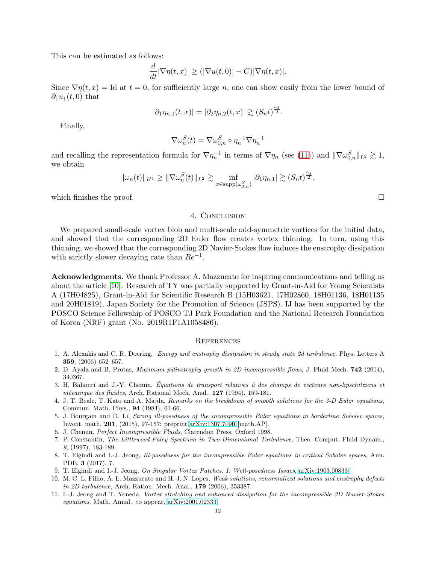This can be estimated as follows:

$$
\frac{d}{dt}|\nabla \eta(t,x)| \ge (|\nabla u(t,0)| - C)|\nabla \eta(t,x)|.
$$

Since  $\nabla \eta(t, x) =$  Id at  $t = 0$ , for sufficiently large n, one can show easily from the lower bound of  $\partial_1u_1(t,0)$  that

$$
|\partial_1 \eta_{n,1}(t,x)| = |\partial_2 \eta_{n,2}(t,x)| \gtrsim (S_n t)^{\frac{c_0}{2}}.
$$

Finally,

$$
\nabla \omega_n^S(t) = \nabla \omega_{0,n}^S \circ \eta_n^{-1} \nabla \eta_n^{-1}
$$

and recalling the representation formula for  $\nabla \eta_n^{-1}$  in terms of  $\nabla \eta_n$  (see [\(11\)](#page-5-0)) and  $\|\nabla \omega_{0,n}^S\|_{L^2} \gtrsim 1$ , we obtain

$$
\|\omega_n(t)\|_{H^1} \ge \|\nabla \omega_n^S(t)\|_{L^2} \gtrsim \inf_{x \in \text{supp}(\omega_{0,n}^S)} |\partial_1 \eta_{n,1}| \gtrsim (S_n t)^{\frac{c_0}{2}},
$$

which finishes the proof.  $\Box$ 

## 4. Conclusion

We prepared small-scale vortex blob and multi-scale odd-symmetric vortices for the initial data, and showed that the corresponding 2D Euler flow creates vortex thinning. In turn, using this thinning, we showed that the corresponding 2D Navier-Stokes flow induces the enstrophy dissipation with strictly slower decaying rate than  $Re^{-1}$ .

Acknowledgments. We thank Professor A. Mazzucato for inspiring communications and telling us about the article [\[10\]](#page-11-1). Research of TY was partially supported by Grant-in-Aid for Young Scientists A (17H04825), Grant-in-Aid for Scientific Research B (15H03621, 17H02860, 18H01136, 18H01135 and 20H01819), Japan Society for the Promotion of Science (JSPS). IJ has been supported by the POSCO Science Fellowship of POSCO TJ Park Foundation and the National Research Foundation of Korea (NRF) grant (No. 2019R1F1A1058486).

### **REFERENCES**

- <span id="page-11-0"></span>1. A. Alexakis and C. R. Doering, *Energy and enstrophy dissipation in steady state 2d turbulence*, Phys. Letters A 359, (2006) 652–657.
- <span id="page-11-3"></span>2. D. Ayala and B. Protas, *Maximum palinstrophy growth in 2D incompressible flows*, J. Fluid Mech. 742 (2014), 340367.
- 3. H. Bahouri and J.-Y. Chemin, *Equations de transport relatives ´a des champs de vecteurs n ´ on-lipschitziens et m´ecanique des fluides*, Arch. Rational Mech. Anal., 127 (1994), 159-181.
- <span id="page-11-6"></span>4. J. T. Beale, T. Kato and A. Majda, *Remarks on the breakdown of smooth solutions for the 3-D Euler equations*, Commun. Math. Phys., 94 (1984), 61-66.
- <span id="page-11-2"></span>5. J. Bourgain and D. Li, *Strong ill-posedness of the incompressible Euler equations in borderline Sobolev spaces*, Invent. math. 201, (2015), 97-157; preprint [arXiv:1307.7090](http://arxiv.org/abs/1307.7090) [math.AP].
- 6. J. Chemin, *Perfect Incompressible Fluids*, Clarendon Press, Oxford 1998.
- 7. P. Constantin, *The Littlewood-Paley Spectrum in Two-Dimensional Turbulence*, Theo. Comput. Fluid Dynam., *9*, (1997), 183-189.
- <span id="page-11-4"></span>8. T. Elgindi and I.-J. Jeong, *Ill-posedness for the incompressible Euler equations in critical Sobolev spaces*, Ann. PDE, 3 (2017), 7.
- <span id="page-11-7"></span><span id="page-11-1"></span>9. T. Elgindi and I.-J. Jeong, *On Singular Vortex Patches, I: Well-posedness Issues*, [arXiv:1903.00833.](http://arxiv.org/abs/1903.00833)
- 10. M. C. L. Filho, A. L. Mazzucato and H. J. N. Lopes, *Weak solutions, renormalized solutions and enstrophy defects in 2D turbulence*, Arch. Ration. Mech. Anal., 179 (2006), 353387.
- <span id="page-11-5"></span>11. I.-J. Jeong and T. Yoneda, *Vortex stretching and enhanced dissipation for the incompressible 3D Navier-Stokes equations*, Math. Annal., to appear, [arXiv:2001.02333.](http://arxiv.org/abs/2001.02333)